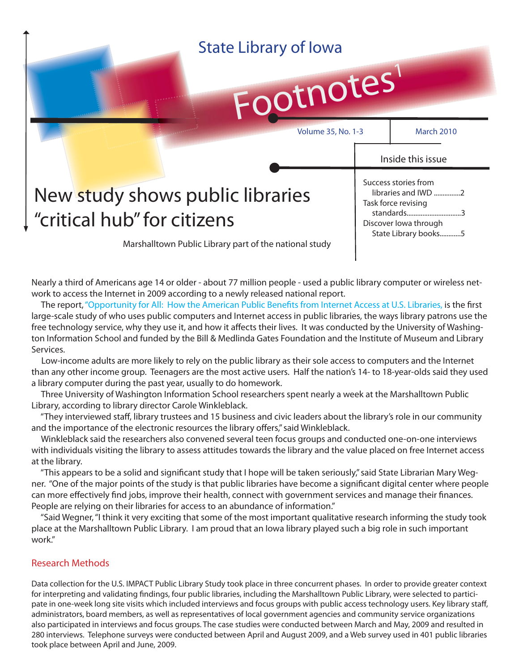| Footnotes<br><b>Volume 35, No. 1-3</b>                            |                                                                                                                                                        |                   |
|-------------------------------------------------------------------|--------------------------------------------------------------------------------------------------------------------------------------------------------|-------------------|
|                                                                   |                                                                                                                                                        | <b>March 2010</b> |
| New study shows public libraries<br>f "critical hub" for citizens | Inside this issue<br>Success stories from<br>libraries and IWD 2<br>Task force revising<br>standards3<br>Discover lowa through<br>State Library books5 |                   |

Nearly a third of Americans age 14 or older - about 77 million people - used a public library computer or wireless network to access the Internet in 2009 according to a newly released national report.

The report, "Opportunity for All: How the American Public Benefits from Internet Access at U.S. Libraries, is the first large-scale study of who uses public computers and Internet access in public libraries, the ways library patrons use the free technology service, why they use it, and how it affects their lives. It was conducted by the University of Washington Information School and funded by the Bill & Medlinda Gates Foundation and the Institute of Museum and Library Services.

 Low-income adults are more likely to rely on the public library as their sole access to computers and the Internet than any other income group. Teenagers are the most active users. Half the nation's 14- to 18-year-olds said they used a library computer during the past year, usually to do homework.

 Three University of Washington Information School researchers spent nearly a week at the Marshalltown Public Library, according to library director Carole Winkleblack.

 "They interviewed staff , library trustees and 15 business and civic leaders about the library's role in our community and the importance of the electronic resources the library offers," said Winkleblack.

 Winkleblack said the researchers also convened several teen focus groups and conducted one-on-one interviews with individuals visiting the library to assess attitudes towards the library and the value placed on free Internet access at the library.

"This appears to be a solid and significant study that I hope will be taken seriously," said State Librarian Mary Wegner. "One of the major points of the study is that public libraries have become a significant digital center where people can more effectively find jobs, improve their health, connect with government services and manage their finances. People are relying on their libraries for access to an abundance of information."

 "Said Wegner, "I think it very exciting that some of the most important qualitative research informing the study took place at the Marshalltown Public Library. I am proud that an Iowa library played such a big role in such important work."

### Research Methods

Data collection for the U.S. IMPACT Public Library Study took place in three concurrent phases. In order to provide greater context for interpreting and validating findings, four public libraries, including the Marshalltown Public Library, were selected to participate in one-week long site visits which included interviews and focus groups with public access technology users. Key library staff, administrators, board members, as well as representatives of local government agencies and community service organizations also participated in interviews and focus groups. The case studies were conducted between March and May, 2009 and resulted in 280 interviews. Telephone surveys were conducted between April and August 2009, and a Web survey used in 401 public libraries took place between April and June, 2009.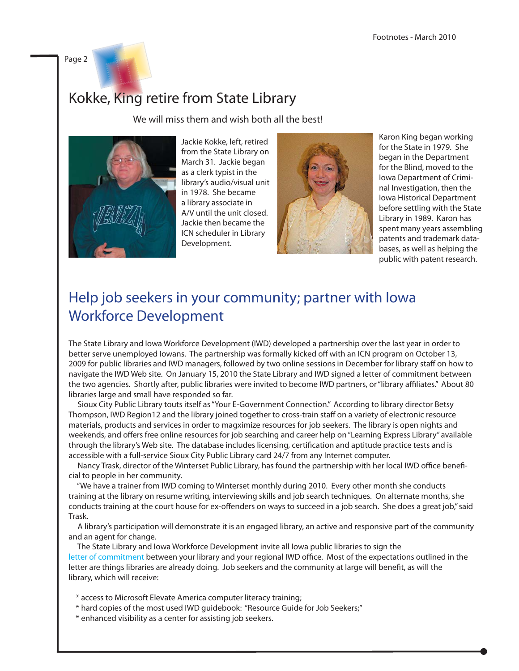Page 2

# Kokke, King retire from State Library

We will miss them and wish both all the best!



Jackie Kokke, left, retired from the State Library on March 31. Jackie began as a clerk typist in the library's audio/visual unit in 1978. She became a library associate in A/V until the unit closed. Jackie then became the ICN scheduler in Library Development.



Karon King began working for the State in 1979. She began in the Department for the Blind, moved to the Iowa Department of Criminal Investigation, then the Iowa Historical Department before settling with the State Library in 1989. Karon has spent many years assembling patents and trademark databases, as well as helping the public with patent research.

# Help job seekers in your community; partner with Iowa Workforce Development

The State Library and Iowa Workforce Development (IWD) developed a partnership over the last year in order to better serve unemployed Iowans. The partnership was formally kicked off with an ICN program on October 13, 2009 for public libraries and IWD managers, followed by two online sessions in December for library staff on how to navigate the IWD Web site. On January 15, 2010 the State Library and IWD signed a letter of commitment between the two agencies. Shortly after, public libraries were invited to become IWD partners, or "library affiliates." About 80 libraries large and small have responded so far.

 Sioux City Public Library touts itself as "Your E-Government Connection." According to library director Betsy Thompson, IWD Region12 and the library joined together to cross-train staff on a variety of electronic resource materials, products and services in order to magximize resources for job seekers. The library is open nights and weekends, and offers free online resources for job searching and career help on "Learning Express Library" available through the library's Web site. The database includes licensing, certification and aptitude practice tests and is accessible with a full-service Sioux City Public Library card 24/7 from any Internet computer.

Nancy Trask, director of the Winterset Public Library, has found the partnership with her local IWD office beneficial to people in her community.

 "We have a trainer from IWD coming to Winterset monthly during 2010. Every other month she conducts training at the library on resume writing, interviewing skills and job search techniques. On alternate months, she conducts training at the court house for ex-offenders on ways to succeed in a job search. She does a great job," said Trask.

 A library's participation will demonstrate it is an engaged library, an active and responsive part of the community and an agent for change.

 The State Library and Iowa Workforce Development invite all Iowa public libraries to sign the [letter of commitment b](http://www.statelibraryofiowa/ld/jobs/partner)etween your library and your regional IWD office. Most of the expectations outlined in the letter are things libraries are already doing. Job seekers and the community at large will benefit, as will the library, which will receive:

- \* access to Microsoft Elevate America computer literacy training;
- \* hard copies of the most used IWD guidebook: "Resource Guide for Job Seekers;"
- \* enhanced visibility as a center for assisting job seekers.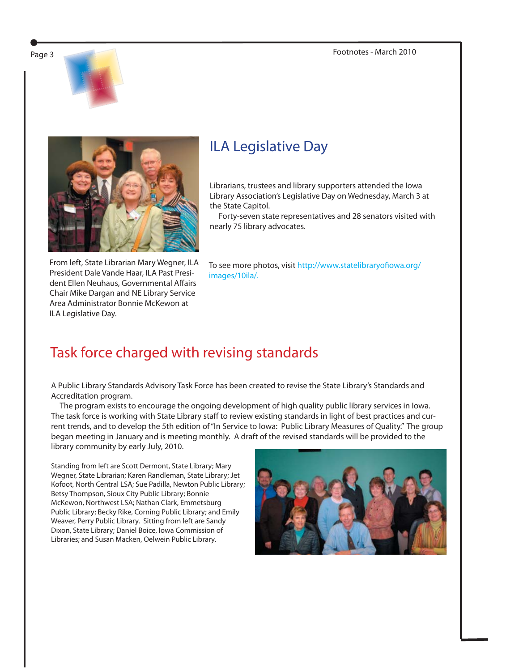Page 3 Footnotes - March 2010







From left, State Librarian Mary Wegner, ILA President Dale Vande Haar, ILA Past President Ellen Neuhaus, Governmental Affairs Chair Mike Dargan and NE Library Service Area Administrator Bonnie McKewon at ILA Legislative Day.

## ILA Legislative Day

Librarians, trustees and library supporters attended the Iowa Library Association's Legislative Day on Wednesday, March 3 at the State Capitol.

 Forty-seven state representatives and 28 senators visited with nearly 75 library advocates.

To see more photos, visit http://www.statelibraryofiowa.org/ [images/10ila/.](http://www.statelibraryofiowa.org/images/10ila)

### Task force charged with revising standards

A Public Library Standards Advisory Task Force has been created to revise the State Library's Standards and Accreditation program.

 The program exists to encourage the ongoing development of high quality public library services in Iowa. The task force is working with State Library staff to review existing standards in light of best practices and current trends, and to develop the 5th edition of "In Service to Iowa: Public Library Measures of Quality." The group began meeting in January and is meeting monthly. A draft of the revised standards will be provided to the library community by early July, 2010.

Standing from left are Scott Dermont, State Library; Mary Wegner, State Librarian; Karen Randleman, State Library; Jet Kofoot, North Central LSA; Sue Padilla, Newton Public Library; Betsy Thompson, Sioux City Public Library; Bonnie McKewon, Northwest LSA; Nathan Clark, Emmetsburg Public Library; Becky Rike, Corning Public Library; and Emily Weaver, Perry Public Library. Sitting from left are Sandy Dixon, State Library; Daniel Boice, Iowa Commission of Libraries; and Susan Macken, Oelwein Public Library.

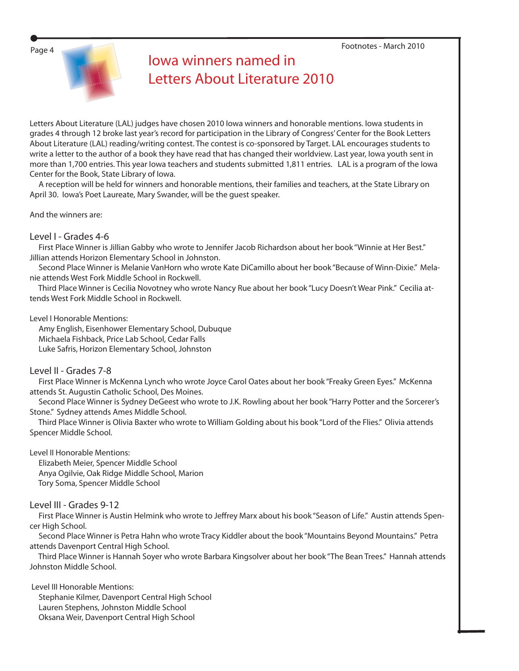Page 4 Footnotes - March 2010



## Iowa winners named in Letters About Literature 2010

Letters About Literature (LAL) judges have chosen 2010 Iowa winners and honorable mentions. Iowa students in grades 4 through 12 broke last year's record for participation in the Library of Congress' Center for the Book Letters About Literature (LAL) reading/writing contest. The contest is co-sponsored by Target. LAL encourages students to write a letter to the author of a book they have read that has changed their worldview. Last year, Iowa youth sent in more than 1,700 entries. This year Iowa teachers and students submitted 1,811 entries. LAL is a program of the Iowa Center for the Book, State Library of Iowa.

 A reception will be held for winners and honorable mentions, their families and teachers, at the State Library on April 30. Iowa's Poet Laureate, Mary Swander, will be the guest speaker.

And the winners are:

#### Level I - Grades 4-6

 First Place Winner is Jillian Gabby who wrote to Jennifer Jacob Richardson about her book "Winnie at Her Best." Jillian attends Horizon Elementary School in Johnston.

 Second Place Winner is Melanie VanHorn who wrote Kate DiCamillo about her book "Because of Winn-Dixie." Melanie attends West Fork Middle School in Rockwell.

 Third Place Winner is Cecilia Novotney who wrote Nancy Rue about her book "Lucy Doesn't Wear Pink." Cecilia attends West Fork Middle School in Rockwell.

Level I Honorable Mentions:

 Amy English, Eisenhower Elementary School, Dubuque Michaela Fishback, Price Lab School, Cedar Falls Luke Safris, Horizon Elementary School, Johnston

### Level II - Grades 7-8

 First Place Winner is McKenna Lynch who wrote Joyce Carol Oates about her book "Freaky Green Eyes." McKenna attends St. Augustin Catholic School, Des Moines.

 Second Place Winner is Sydney DeGeest who wrote to J.K. Rowling about her book "Harry Potter and the Sorcerer's Stone." Sydney attends Ames Middle School.

 Third Place Winner is Olivia Baxter who wrote to William Golding about his book "Lord of the Flies." Olivia attends Spencer Middle School.

Level II Honorable Mentions:

 Elizabeth Meier, Spencer Middle School Anya Ogilvie, Oak Ridge Middle School, Marion Tory Soma, Spencer Middle School

Level III - Grades 9-12

First Place Winner is Austin Helmink who wrote to Jeffrey Marx about his book "Season of Life." Austin attends Spencer High School.

 Second Place Winner is Petra Hahn who wrote Tracy Kiddler about the book "Mountains Beyond Mountains." Petra attends Davenport Central High School.

 Third Place Winner is Hannah Soyer who wrote Barbara Kingsolver about her book "The Bean Trees." Hannah attends Johnston Middle School.

 Level III Honorable Mentions: Stephanie Kilmer, Davenport Central High School Lauren Stephens, Johnston Middle School Oksana Weir, Davenport Central High School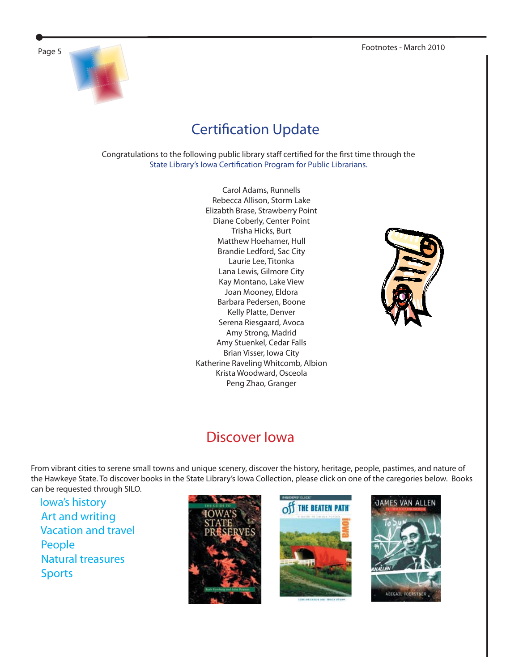

# **Certification Update**

Congratulations to the following public library staff certified for the first time through the State Library's Iowa Certification Program for Public Librarians.

> Carol Adams, Runnells Rebecca Allison, Storm Lake Elizabth Brase, Strawberry Point Diane Coberly, Center Point Trisha Hicks, Burt Matthew Hoehamer, Hull Brandie Ledford, Sac City Laurie Lee, Titonka Lana Lewis, Gilmore City Kay Montano, Lake View Joan Mooney, Eldora Barbara Pedersen, Boone Kelly Platte, Denver Serena Riesgaard, Avoca Amy Strong, Madrid Amy Stuenkel, Cedar Falls Brian Visser, Iowa City Katherine Raveling Whitcomb, Albion Krista Woodward, Osceola Peng Zhao, Granger



### Discover Iowa

From vibrant cities to serene small towns and unique scenery, discover the history, heritage, people, pastimes, and nature of the Hawkeye State. To discover books in the State Library's Iowa Collection, please click on one of the caregories below. Books can be requested through SILO.

 [Iowa's history](http://library.booksite.com/7168/nl/?list=CNL1) [Art and writing](http://library.booksite.com/7168/nl/?list=CNL2) [Vacation and travel](http://library.booksite.com/7168/nl/?list=CNL3) [People](http://library.booksite.com/7168/nl/?list=CNL4)  [Natural treasures](http://library.booksite.com/7168/nl/?list=CNL5) [Sports](http://library.booksite.com/7168/nl/?list=CNL6)







JAMES VAN ALLEN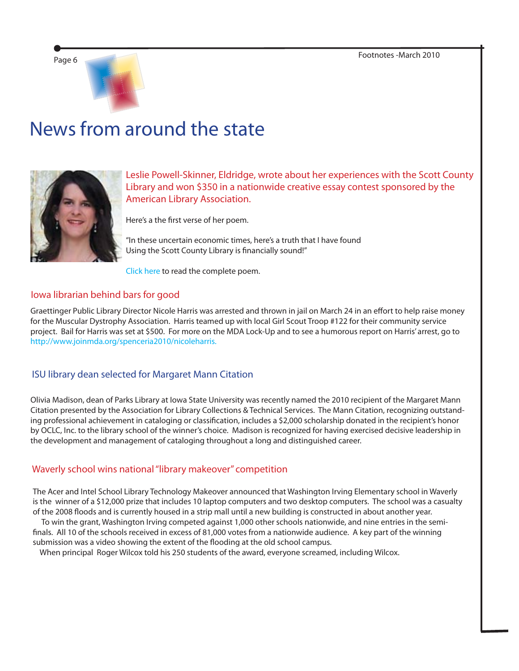

# News from around the state



Leslie Powell-Skinner, Eldridge, wrote about her experiences with the Scott County Library and won \$350 in a nationwide creative essay contest sponsored by the American Library Association.

Here's a the first verse of her poem.

"In these uncertain economic times, here's a truth that I have found Using the Scott County Library is financially sound!"

[Click here](http://www.atyourlibrary.org/winner-creative-essay-contest) to read the complete poem.

#### Iowa librarian behind bars for good

Graettinger Public Library Director Nicole Harris was arrested and thrown in jail on March 24 in an effort to help raise money for the Muscular Dystrophy Association. Harris teamed up with local Girl Scout Troop #122 for their community service project. Bail for Harris was set at \$500. For more on the MDA Lock-Up and to see a humorous report on Harris' arrest, go to [http://www.joinmda.org/spenceria2010/nicoleharris.](http://www.joinmda.org/spenceria2010/nicoleharris)

### ISU library dean selected for Margaret Mann Citation

Olivia Madison, dean of Parks Library at Iowa State University was recently named the 2010 recipient of the Margaret Mann Citation presented by the Association for Library Collections & Technical Services. The Mann Citation, recognizing outstanding professional achievement in cataloging or classification, includes a \$2,000 scholarship donated in the recipient's honor by OCLC, Inc. to the library school of the winner's choice. Madison is recognized for having exercised decisive leadership in the development and management of cataloging throughout a long and distinguished career.

### Waverly school wins national "library makeover" competition

The Acer and Intel School Library Technology Makeover announced that Washington Irving Elementary school in Waverly is the winner of a \$12,000 prize that includes 10 laptop computers and two desktop computers. The school was a casualty of the 2008 floods and is currently housed in a strip mall until a new building is constructed in about another year.

 To win the grant, Washington Irving competed against 1,000 other schools nationwide, and nine entries in the semifinals. All 10 of the schools received in excess of 81,000 votes from a nationwide audience. A key part of the winning submission was a video showing the extent of the flooding at the old school campus.

When principal Roger Wilcox told his 250 students of the award, everyone screamed, including Wilcox.